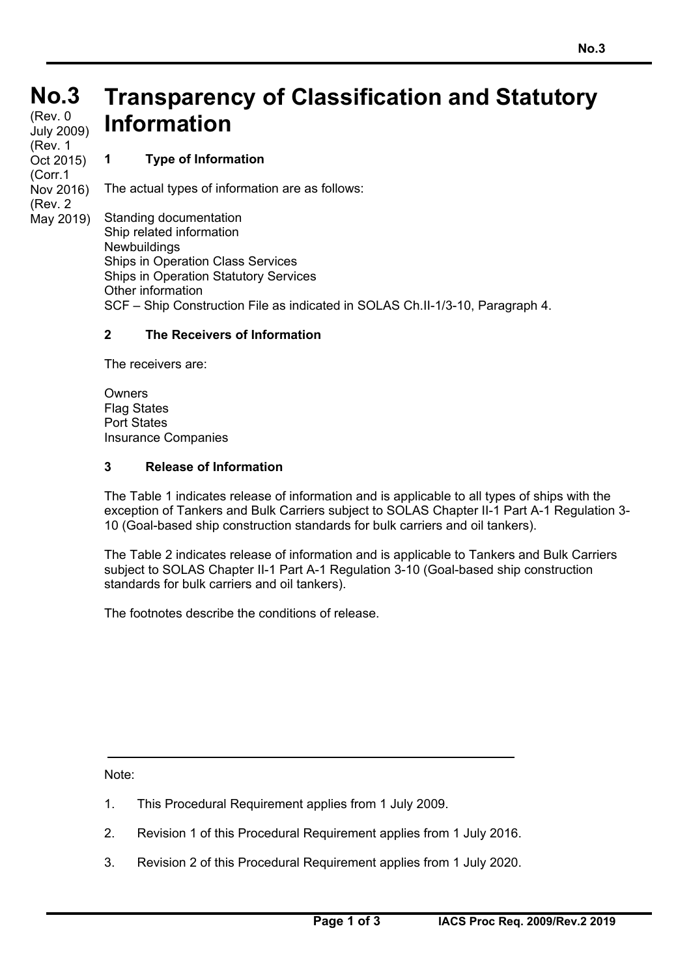# **No.3 No.3**

(Rev. 0 July 2009) (Rev. 1 Oct 2015) (Corr.1 Nov 2016) (Rev. 2 May 2019)

## **Transparency of Classification and Statutory Information**

#### **1 Type of Information**

The actual types of information are as follows:

Standing documentation Ship related information Newbuildings Ships in Operation Class Services Ships in Operation Statutory Services Other information SCF – Ship Construction File as indicated in SOLAS Ch.II-1/3-10, Paragraph 4.

#### **2 The Receivers of Information**

The receivers are:

Owners Flag States Port States Insurance Companies

#### **3 Release of Information**

The Table 1 indicates release of information and is applicable to all types of ships with the exception of Tankers and Bulk Carriers subject to SOLAS Chapter II-1 Part A-1 Regulation 3- 10 (Goal-based ship construction standards for bulk carriers and oil tankers).

The Table 2 indicates release of information and is applicable to Tankers and Bulk Carriers subject to SOLAS Chapter II-1 Part A-1 Regulation 3-10 (Goal-based ship construction standards for bulk carriers and oil tankers).

The footnotes describe the conditions of release.

Note:

- 1. This Procedural Requirement applies from 1 July 2009.
- 2. Revision 1 of this Procedural Requirement applies from 1 July 2016.
- 3. Revision 2 of this Procedural Requirement applies from 1 July 2020.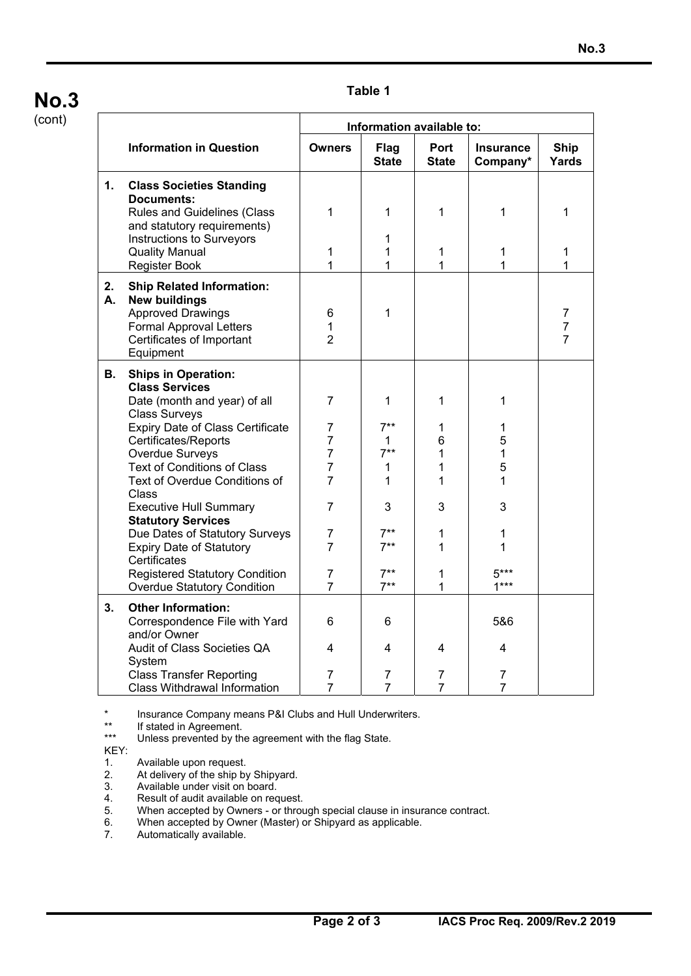### **No.3**

#### (cont)

#### **Table 1**

|          |                                                                                                                                                                                                                                                                                                                                                                                                                                                                                                                     | Information available to:                                                                                                                                   |                                                                                |                                                     |                                                               |                          |  |
|----------|---------------------------------------------------------------------------------------------------------------------------------------------------------------------------------------------------------------------------------------------------------------------------------------------------------------------------------------------------------------------------------------------------------------------------------------------------------------------------------------------------------------------|-------------------------------------------------------------------------------------------------------------------------------------------------------------|--------------------------------------------------------------------------------|-----------------------------------------------------|---------------------------------------------------------------|--------------------------|--|
|          | <b>Information in Question</b>                                                                                                                                                                                                                                                                                                                                                                                                                                                                                      | <b>Owners</b>                                                                                                                                               | <b>Flag</b><br><b>State</b>                                                    | Port<br><b>State</b>                                | <b>Insurance</b><br>Company*                                  | <b>Ship</b><br>Yards     |  |
| 1.       | <b>Class Societies Standing</b><br><b>Documents:</b><br><b>Rules and Guidelines (Class</b><br>and statutory requirements)<br>Instructions to Surveyors<br><b>Quality Manual</b><br>Register Book                                                                                                                                                                                                                                                                                                                    | 1<br>1<br>1                                                                                                                                                 | 1<br>1<br>1<br>1                                                               | 1<br>1<br>1                                         | 1<br>1<br>1                                                   | 1<br>1<br>1              |  |
| 2.<br>А. | <b>Ship Related Information:</b><br><b>New buildings</b><br><b>Approved Drawings</b><br><b>Formal Approval Letters</b><br>Certificates of Important<br>Equipment                                                                                                                                                                                                                                                                                                                                                    | 6<br>1<br>$\overline{2}$                                                                                                                                    | 1                                                                              |                                                     |                                                               | 7<br>$\overline{7}$<br>7 |  |
| В.       | <b>Ships in Operation:</b><br><b>Class Services</b><br>Date (month and year) of all<br><b>Class Surveys</b><br><b>Expiry Date of Class Certificate</b><br>Certificates/Reports<br>Overdue Surveys<br><b>Text of Conditions of Class</b><br>Text of Overdue Conditions of<br>Class<br><b>Executive Hull Summary</b><br><b>Statutory Services</b><br>Due Dates of Statutory Surveys<br><b>Expiry Date of Statutory</b><br>Certificates<br><b>Registered Statutory Condition</b><br><b>Overdue Statutory Condition</b> | $\overline{7}$<br>7<br>$\overline{7}$<br>$\overline{7}$<br>$\overline{7}$<br>7<br>7<br>$\overline{7}$<br>$\overline{7}$<br>$\overline{7}$<br>$\overline{7}$ | 1<br>$7**$<br>1<br>$7***$<br>1<br>1<br>3<br>$7**$<br>$7***$<br>$7**$<br>$7***$ | 1<br>1<br>6<br>1<br>1<br>1<br>3<br>1<br>1<br>1<br>1 | 1<br>1<br>5<br>1<br>5<br>1<br>3<br>1<br>1<br>$5***$<br>$1***$ |                          |  |
| 3.       | <b>Other Information:</b><br>Correspondence File with Yard<br>and/or Owner<br>Audit of Class Societies QA<br>System<br><b>Class Transfer Reporting</b><br><b>Class Withdrawal Information</b>                                                                                                                                                                                                                                                                                                                       | 6<br>4<br>7<br>7                                                                                                                                            | 6<br>4<br>7<br>$\overline{7}$                                                  | 4<br>7<br>$\overline{7}$                            | 5&6<br>4<br>7<br>7                                            |                          |  |

\* Insurance Company means P&I Clubs and Hull Underwriters.<br>\*\* If stated in Agreement

\*\* If stated in Agreement.<br>\*\*\* I Inless prevented by the

Unless prevented by the agreement with the flag State.

KEY:<br>1.<br>2.<br>3.

- Available upon request.
- At delivery of the ship by Shipyard.
- 
- 3. Available under visit on board.<br>4. Result of audit available on rec<br>5. When accepted by Owners o Result of audit available on request.
- 5. When accepted by Owners or through special clause in insurance contract.<br>6. When accepted by Owner (Master) or Shipyard as applicable.<br>7. Automatically available.
- When accepted by Owner (Master) or Shipyard as applicable.
- Automatically available.